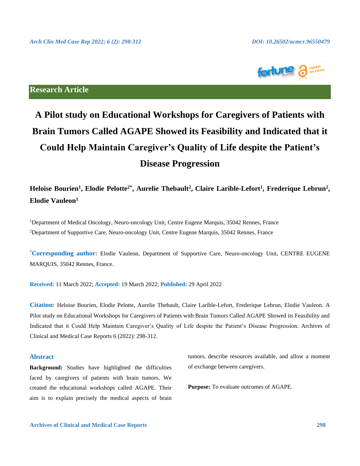

## **Research Article**

# **A Pilot study on Educational Workshops for Caregivers of Patients with Brain Tumors Called AGAPE Showed its Feasibility and Indicated that it Could Help Maintain Caregiver's Quality of Life despite the Patient's Disease Progression**

# Heloise Bourien<sup>1</sup>, Elodie Pelotte<sup>2\*</sup>, Aurelie Thebault<sup>2</sup>, Claire Larible-Lefort<sup>1</sup>, Frederique Lebrun<sup>2</sup>, **Elodie Vauleon<sup>1</sup>**

<sup>1</sup>Department of Medical Oncology, Neuro-oncology Unit, Centre Eugene Marquis, 35042 Rennes, France <sup>2</sup>Department of Supportive Care, Neuro-oncology Unit, Centre Eugene Marquis, 35042 Rennes, France

**\*Corresponding author:** Elodie Vauleon, Department of Supportive Care, Neuro-oncology Unit, CENTRE EUGENE MARQUIS, 35042 Rennes, France.

**Received:** 11 March 2022; **Accepted:** 19 March 2022; **Published:** 29 April 2022

**Citation:** Heloise Bourien, Elodie Pelotte, Aurelie Thebault, Claire Larible-Lefort, Frederique Lebrun, Elodie Vauleon. A Pilot study on Educational Workshops for Caregivers of Patients with Brain Tumors Called AGAPE Showed its Feasibility and Indicated that it Could Help Maintain Caregiver's Quality of Life despite the Patient's Disease Progression. Archives of Clinical and Medical Case Reports 6 (2022): 298-312.

#### **Abstract**

**Background:** Studies have highlighted the difficulties faced by caregivers of patients with brain tumors. We created the educational workshops called AGAPE. Their aim is to explain precisely the medical aspects of brain tumors, describe resources available, and allow a moment of exchange between caregivers.

**Purpose:** To evaluate outcomes of AGAPE.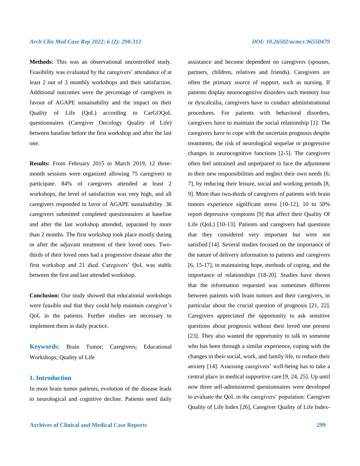**Methods:** This was an observational uncontrolled study. Feasibility was evaluated by the caregivers' attendance of at least 2 out of 3 monthly workshops and their satisfaction. Additional outcomes were the percentage of caregivers in favour of AGAPE sustainability and the impact on their Quality of Life (QoL) according to CarGOQoL questionnaires (Caregiver Oncology Quality of Life) between baseline before the first workshop and after the last one.

**Results:** From February 2015 to March 2019, 12 threemonth sessions were organized allowing 75 caregivers to participate. 84% of caregivers attended at least 2 workshops, the level of satisfaction was very high, and all caregivers responded in favor of AGAPE sustainability. 36 caregivers submitted completed questionnaires at baseline and after the last workshop attended, separated by more than 2 months. The first workshop took place mostly during or after the adjuvant treatment of their loved ones. Twothirds of their loved ones had a progressive disease after the first workshop and 21 died. Caregivers' QoL was stable between the first and last attended workshop.

**Conclusion:** Our study showed that educational workshops were feasible and that they could help maintain caregiver's QoL in the patients. Further studies are necessary to implement them in daily practice.

**Keywords:** Brain Tumor; Caregivers; Educational Workshops; Quality of Life

#### **1. Introduction**

In most brain tumor patients, evolution of the disease leads to neurological and cognitive decline. Patients need daily

assistance and become dependent on caregivers (spouses, partners, children, relatives and friends). Caregivers are often the primary source of support, such as nursing. If patients display neurocognitive disorders such memory loss or dyscalculia, caregivers have to conduct administrational procedures. For patients with behavioral disorders, caregivers have to maintain the social relationship [1]. The caregivers have to cope with the uncertain prognosis despite treatments, the risk of neurological sequelae or progressive changes in neurocognitive functions [2-5]. The caregivers often feel untrained and unprepared to face the adjustment to their new responsibilities and neglect their own needs [6, 7], by reducing their leisure, social and working periods [8, 9]. More than two-thirds of caregivers of patients with brain tumors experience significant stress [10-12], 10 to 50% report depressive symptoms [9] that affect their Quality Of Life (QoL) [10-13]. Patients and caregivers had questions that they considered very important but were not satisfied [14]. Several studies focused on the importance of the nature of delivery information to patients and caregivers [6, 15-17], in maintaining hope, methods of coping, and the importance of relationships [18-20]. Studies have shown that the information requested was sometimes different between patients with brain tumors and their caregivers, in particular about the crucial question of prognosis [21, 22]. Caregivers appreciated the opportunity to ask sensitive questions about prognosis without their loved one present [23]. They also wanted the opportunity to talk to someone who has been through a similar experience, coping with the changes in their social, work, and family life, to reduce their anxiety [14]. Assessing caregivers' well-being has to take a central place in medical supportive care [9, 24, 25]. Up until now three self-administered questionnaires were developed to evaluate the QoL in the caregivers' population: Caregiver Quality of Life Index [26], Caregiver Quality of Life Index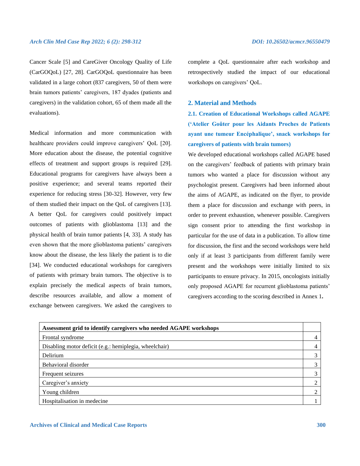Cancer Scale [5] and CareGiver Oncology Quality of Life (CarGOQoL) [27, 28]. CarGOQoL questionnaire has been validated in a large cohort (837 caregivers, 50 of them were brain tumors patients' caregivers, 187 dyades (patients and caregivers) in the validation cohort, 65 of them made all the evaluations).

Medical information and more communication with healthcare providers could improve caregivers' QoL [20]. More education about the disease, the potential cognitive effects of treatment and support groups is required [29]. Educational programs for caregivers have always been a positive experience; and several teams reported their experience for reducing stress [30-32]. However, very few of them studied their impact on the QoL of caregivers [13]. A better QoL for caregivers could positively impact outcomes of patients with glioblastoma [13] and the physical health of brain tumor patients [4, 33]. A study has even shown that the more glioblastoma patients' caregivers know about the disease, the less likely the patient is to die [34]. We conducted educational workshops for caregivers of patients with primary brain tumors. The objective is to explain precisely the medical aspects of brain tumors, describe resources available, and allow a moment of exchange between caregivers. We asked the caregivers to

complete a QoL questionnaire after each workshop and retrospectively studied the impact of our educational workshops on caregivers' QoL.

### **2. Material and Methods**

**2.1. Creation of Educational Workshops called AGAPE ('Atelier Goûter pour les Aidants Proches de Patients ayant une tumeur Encéphalique', snack workshops for caregivers of patients with brain tumors)**

We developed educational workshops called AGAPE based on the caregivers' feedback of patients with primary brain tumors who wanted a place for discussion without any psychologist present. Caregivers had been informed about the aims of AGAPE, as indicated on the flyer, to provide them a place for discussion and exchange with peers, in order to prevent exhaustion, whenever possible. Caregivers sign consent prior to attending the first workshop in particular for the use of data in a publication. To allow time for discussion, the first and the second workshops were held only if at least 3 participants from different family were present and the workshops were initially limited to six participants to ensure privacy. In 2015, oncologists initially only proposed AGAPE for recurrent glioblastoma patients' caregivers according to the scoring described in Annex 1**.**

| Assessment grid to identify caregivers who needed AGAPE workshops |  |
|-------------------------------------------------------------------|--|
| Frontal syndrome                                                  |  |
| Disabling motor deficit (e.g.: hemiplegia, wheelchair)            |  |
| Delirium                                                          |  |
| Behavioral disorder                                               |  |
| Frequent seizures                                                 |  |
| Caregiver's anxiety                                               |  |
| Young children                                                    |  |
| Hospitalisation in medecine                                       |  |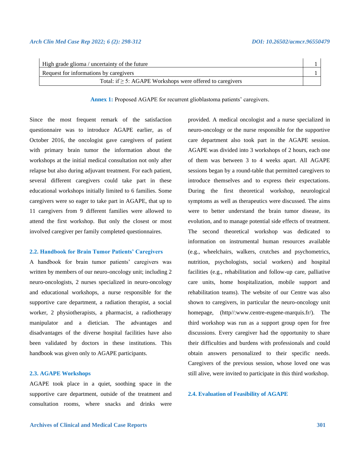| High grade glioma / uncertainty of the future                  |  |
|----------------------------------------------------------------|--|
| Request for informations by caregivers                         |  |
| Total: if $\geq$ 5: AGAPE Workshops were offered to caregivers |  |
|                                                                |  |

**Annex 1:** Proposed AGAPE for recurrent glioblastoma patients' caregivers.

Since the most frequent remark of the satisfaction questionnaire was to introduce AGAPE earlier, as of October 2016, the oncologist gave caregivers of patient with primary brain tumor the information about the workshops at the initial medical consultation not only after relapse but also during adjuvant treatment. For each patient, several different caregivers could take part in these educational workshops initially limited to 6 families. Some caregivers were so eager to take part in AGAPE, that up to 11 caregivers from 9 different families were allowed to attend the first workshop. But only the closest or most involved caregiver per family completed questionnaires.

#### **2.2. Handbook for Brain Tumor Patients' Caregivers**

A handbook for brain tumor patients' caregivers was written by members of our neuro-oncology unit; including 2 neuro-oncologists, 2 nurses specialized in neuro-oncology and educational workshops, a nurse responsible for the supportive care department, a radiation therapist, a social worker, 2 physiotherapists, a pharmacist, a radiotherapy manipulator and a dietician. The advantages and disadvantages of the diverse hospital facilities have also been validated by doctors in these institutions. This handbook was given only to AGAPE participants.

#### **2.3. AGAPE Workshops**

AGAPE took place in a quiet, soothing space in the supportive care department, outside of the treatment and consultation rooms, where snacks and drinks were provided. A medical oncologist and a nurse specialized in neuro-oncology or the nurse responsible for the supportive care department also took part in the AGAPE session. AGAPE was divided into 3 workshops of 2 hours, each one of them was between 3 to 4 weeks apart. All AGAPE sessions began by a round-table that permitted caregivers to introduce themselves and to express their expectations. During the first theoretical workshop, neurological symptoms as well as therapeutics were discussed. The aims were to better understand the brain tumor disease, its evolution, and to manage potential side effects of treatment. The second theoretical workshop was dedicated to information on instrumental human resources available (e.g., wheelchairs, walkers, crutches and psychometrics, nutrition, psychologists, social workers) and hospital facilities (e.g., rehabilitation and follow-up care, palliative care units, home hospitalization, mobile support and rehabilitation teams). The website of our Centre was also shown to caregivers, in particular the neuro-oncology unit homepage, (http//:www.centre-eugene-marquis.fr/). The third workshop was run as a support group open for free discussions. Every caregiver had the opportunity to share their difficulties and burdens with professionals and could obtain answers personalized to their specific needs. Caregivers of the previous session, whose loved one was still alive, were invited to participate in this third workshop.

#### **2.4. Evaluation of Feasibility of AGAPE**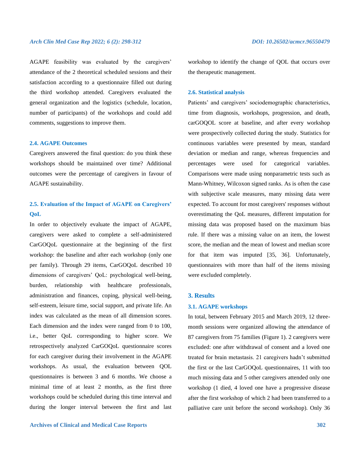AGAPE feasibility was evaluated by the caregivers' attendance of the 2 theoretical scheduled sessions and their satisfaction according to a questionnaire filled out during the third workshop attended. Caregivers evaluated the general organization and the logistics (schedule, location, number of participants) of the workshops and could add comments, suggestions to improve them.

#### **2.4. AGAPE Outcomes**

Caregivers answered the final question: do you think these workshops should be maintained over time? Additional outcomes were the percentage of caregivers in favour of AGAPE sustainability.

# **2.5. Evaluation of the Impact of AGAPE on Caregivers' QoL**

In order to objectively evaluate the impact of AGAPE, caregivers were asked to complete a self-administered CarGOQoL questionnaire at the beginning of the first workshop: the baseline and after each workshop (only one per family). Through 29 items, CarGOQoL described 10 dimensions of caregivers' QoL: psychological well-being, burden, relationship with healthcare professionals, administration and finances, coping, physical well-being, self-esteem, leisure time, social support, and private life. An index was calculated as the mean of all dimension scores. Each dimension and the index were ranged from 0 to 100, i.e., better QoL corresponding to higher score. We retrospectively analyzed CarGOQoL questionnaire scores for each caregiver during their involvement in the AGAPE workshops. As usual, the evaluation between QOL questionnaires is between 3 and 6 months. We choose a minimal time of at least 2 months, as the first three workshops could be scheduled during this time interval and during the longer interval between the first and last

workshop to identify the change of QOL that occurs over the therapeutic management.

#### **2.6. Statistical analysis**

Patients' and caregivers' sociodemographic characteristics, time from diagnosis, workshops, progression, and death, carGOQOL score at baseline, and after every workshop were prospectively collected during the study. Statistics for continuous variables were presented by mean, standard deviation or median and range, whereas frequencies and percentages were used for categorical variables. Comparisons were made using nonparametric tests such as Mann-Whitney, Wilcoxon signed ranks. As is often the case with subjective scale measures, many missing data were expected. To account for most caregivers' responses without overestimating the QoL measures, different imputation for missing data was proposed based on the maximum bias rule. If there was a missing value on an item, the lowest score, the median and the mean of lowest and median score for that item was imputed [35, 36]. Unfortunately, questionnaires with more than half of the items missing were excluded completely.

#### **3. Results**

#### **3.1. AGAPE workshops**

In total, between February 2015 and March 2019, 12 threemonth sessions were organized allowing the attendance of 87 caregivers from 75 families (Figure 1). 2 caregivers were excluded: one after withdrawal of consent and a loved one treated for brain metastasis. 21 caregivers hadn't submitted the first or the last CarGOQoL questionnaires, 11 with too much missing data and 5 other caregivers attended only one workshop (1 died, 4 loved one have a progressive disease after the first workshop of which 2 had been transferred to a palliative care unit before the second workshop). Only 36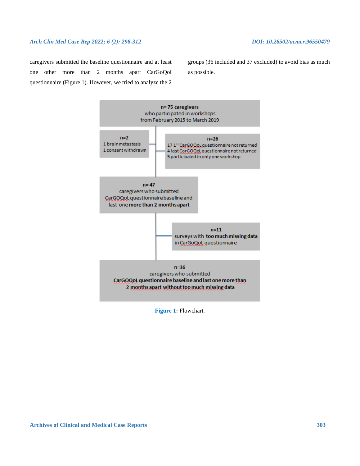caregivers submitted the baseline questionnaire and at least one other more than 2 months apart CarGoQol questionnaire (Figure 1). However, we tried to analyze the 2 groups (36 included and 37 excluded) to avoid bias as much as possible.



**Figure 1:** Flowchart.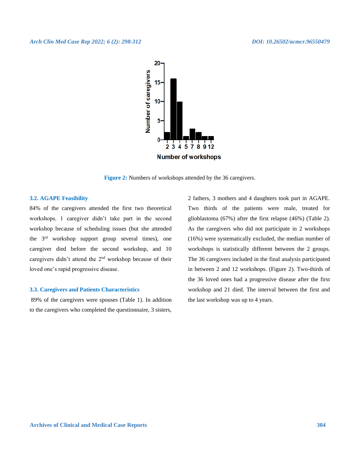

**Figure 2:** Numbers of workshops attended by the 36 caregivers.

#### **3.2. AGAPE Feasibility**

84% of the caregivers attended the first two theoretical workshops. 1 caregiver didn't take part in the second workshop because of scheduling issues (but she attended the 3rd workshop support group several times), one caregiver died before the second workshop, and 10 caregivers didn't attend the 2nd workshop because of their loved one's rapid progressive disease.

#### **3.3. Caregivers and Patients Characteristics**

89% of the caregivers were spouses (Table 1). In addition to the caregivers who completed the questionnaire, 3 sisters,

2 fathers, 3 mothers and 4 daughters took part in AGAPE. Two thirds of the patients were male, treated for glioblastoma (67%) after the first relapse (46%) (Table 2). As the caregivers who did not participate in 2 workshops (16%) were systematically excluded, the median number of workshops is statistically different between the 2 groups. The 36 caregivers included in the final analysis participated in between 2 and 12 workshops. (Figure 2). Two-thirds of the 36 loved ones had a progressive disease after the first workshop and 21 died. The interval between the first and the last workshop was up to 4 years.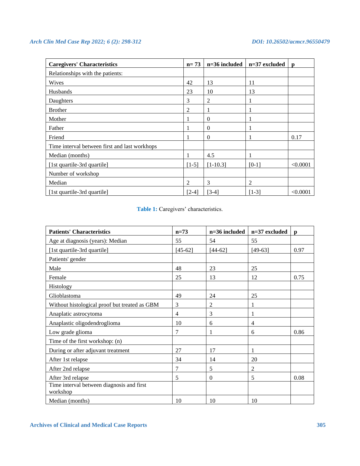| <b>Caregivers' Characteristics</b>            | $n = 73$ | n=36 included | $n=37$ excluded | p        |
|-----------------------------------------------|----------|---------------|-----------------|----------|
| Relationships with the patients:              |          |               |                 |          |
| Wives                                         | 42       | 13            | 11              |          |
| <b>Husbands</b>                               | 23       | 10            | 13              |          |
| Daughters                                     | 3        | 2             |                 |          |
| <b>Brother</b>                                | 2        |               |                 |          |
| Mother                                        |          | $\Omega$      |                 |          |
| Father                                        |          | $\theta$      |                 |          |
| Friend                                        |          | $\Omega$      |                 | 0.17     |
| Time interval between first and last workhops |          |               |                 |          |
| Median (months)                               |          | 4.5           |                 |          |
| [1st quartile-3rd quartile]                   | $[1-5]$  | $[1-10.3]$    | $[0-1]$         | < 0.0001 |
| Number of workshop                            |          |               |                 |          |
| Median                                        | 2        | 3             | $\overline{2}$  |          |
| [1st quartile-3rd quartile]                   | $[2-4]$  | $[3-4]$       | $[1-3]$         | < 0.0001 |

Table 1: Caregivers' characteristics.

| <b>Patients' Characteristics</b>                      | $n=73$         | $n=36$ included | $n=37$ excluded | $\mathbf{D}$ |
|-------------------------------------------------------|----------------|-----------------|-----------------|--------------|
| Age at diagnosis (years): Median                      | 55             | 54              | 55              |              |
| [1st quartile-3rd quartile]                           | $[45-62]$      | $[44-62]$       | $[49-63]$       | 0.97         |
| Patients' gender                                      |                |                 |                 |              |
| Male                                                  | 48             | 23              | 25              |              |
| Female                                                | 25             | 13              | 12              | 0.75         |
| Histology                                             |                |                 |                 |              |
| Glioblastoma                                          | 49             | 24              | 25              |              |
| Without histological proof but treated as GBM         | 3              | $\mathfrak{2}$  |                 |              |
| Anaplatic astrocytoma                                 | $\overline{4}$ | 3               |                 |              |
| Anaplastic oligodendroglioma                          | 10             | 6               | $\overline{4}$  |              |
| Low grade glioma                                      | 7              | 1               | 6               | 0.86         |
| Time of the first workshop: (n)                       |                |                 |                 |              |
| During or after adjuvant treatment                    | 27             | 17              | 1               |              |
| After 1st relapse                                     | 34             | 14              | 20              |              |
| After 2nd relapse                                     | $\overline{7}$ | 5               | 2               |              |
| After 3rd relapse                                     | 5              | $\mathbf{0}$    | 5               | 0.08         |
| Time interval between diagnosis and first<br>workshop |                |                 |                 |              |
| Median (months)                                       | 10             | 10              | 10              |              |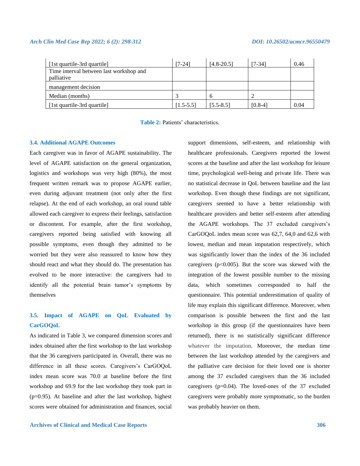| [1st quartile-3rd quartile]             | [7-24]        | $[4.8 - 20.5]$ | [7-34]    | 0.46 |
|-----------------------------------------|---------------|----------------|-----------|------|
| Time interval between last workshop and |               |                |           |      |
| palliative                              |               |                |           |      |
| management decision                     |               |                |           |      |
| Median (months)                         |               | h              |           |      |
| [1st quartile-3rd quartile]             | $[1.5 - 5.5]$ | $[5.5 - 8.5]$  | $[0.8-4]$ | 0.04 |

**Table 2:** Patients' characteristics.

#### **3.4. Additional AGAPE Outcomes**

Each caregiver was in favor of AGAPE sustainability. The level of AGAPE satisfaction on the general organization, logistics and workshops was very high (80%), the most frequent written remark was to propose AGAPE earlier, even during adjuvant treatment (not only after the first relapse). At the end of each workshop, an oral round table allowed each caregiver to express their feelings, satisfaction or discontent. For example, after the first workshop, caregivers reported being satisfied with knowing all possible symptoms, even though they admitted to be worried but they were also reassured to know how they should react and what they should do. The presentation has evolved to be more interactive: the caregivers had to identify all the potential brain tumor's symptoms by themselves

# **3.5. Impact of AGAPE on QoL Evaluated by CarGOQoL**

As indicated in Table 3, we compared dimension scores and index obtained after the first workshop to the last workshop that the 36 caregivers participated in. Overall, there was no difference in all these scores. Caregivers's CarGOQoL index mean score was 70.0 at baseline before the first workshop and 69.9 for the last workshop they took part in (p=0.95). At baseline and after the last workshop, highest scores were obtained for administration and finances, social time, psychological well-being and private life. There was no statistical decrease in QoL between baseline and the last workshop. Even though these findings are not significant, caregivers seemed to have a better relationship with healthcare providers and better self-esteem after attending the AGAPE workshops. The 37 excluded caregivers's CarGOQoL index mean score was 62,7, 64,0 and 62,6 with lowest, median and mean imputation respectively, which was significantly lower than the index of the 36 included caregivers ( $p<0.005$ ). But the score was skewed with the integration of the lowest possible number to the missing data, which sometimes corresponded to half the questionnaire. This potential underestimation of quality of life may explain this significant difference. Moreover, when comparison is possible between the first and the last workshop in this group (if the questionnaires have been returned), there is no statistically significant difference whatever the imputation. Moreover, the median time between the last workshop attended by the caregivers and the palliative care decision for their loved one is shorter among the 37 excluded caregivers than the 36 included caregivers ( $p=0.04$ ). The loved-ones of the 37 excluded caregivers were probably more symptomatic, so the burden was probably heavier on them.

support dimensions, self-esteem, and relationship with healthcare professionals. Caregivers reported the lowest scores at the baseline and after the last workshop for leisure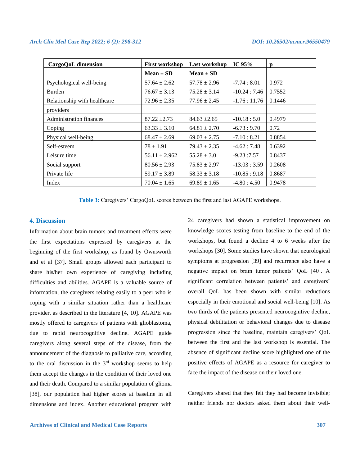| CargoQoL dimension             | <b>First workshop</b> | Last workshop    | IC $95%$      | p      |
|--------------------------------|-----------------------|------------------|---------------|--------|
|                                | $Mean \pm SD$         | $Mean \pm SD$    |               |        |
| Psychological well-being       | $57.64 \pm 2.62$      | $57.78 \pm 2.96$ | $-7.74:8.01$  | 0.972  |
| Burden                         | $76.67 \pm 3.13$      | $75.28 \pm 3.14$ | $-10.24:7.46$ | 0.7552 |
| Relationship with healthcare   | $72.96 \pm 2.35$      | $77.96 \pm 2.45$ | $-1.76:11.76$ | 0.1446 |
| providers                      |                       |                  |               |        |
| <b>Administration finances</b> | $87.22 \pm 2.73$      | $84.63 \pm 2.65$ | $-10.18:5.0$  | 0.4979 |
| Coping                         | $63.33 \pm 3.10$      | $64.81 \pm 2.70$ | $-6.73:9.70$  | 0.72   |
| Physical well-being            | $68.47 \pm 2.69$      | $69.03 \pm 2.75$ | $-7.10:8.21$  | 0.8854 |
| Self-esteem                    | $78 \pm 1.91$         | $79.43 \pm 2.35$ | $-4.62:7.48$  | 0.6392 |
| Leisure time                   | $56.11 \pm 2.962$     | $55.28 \pm 3.0$  | $-9.23:7.57$  | 0.8437 |
| Social support                 | $80.56 \pm 2.93$      | $75.83 \pm 2.97$ | $-13.03:3.59$ | 0.2608 |
| Private life                   | $59.17 \pm 3.89$      | $58.33 \pm 3.18$ | $-10.85:9.18$ | 0.8687 |
| Index                          | $70.04 \pm 1.65$      | $69.89 \pm 1.65$ | $-4.80:4.50$  | 0.9478 |

**Table 3:** Caregivers' CargoQoL scores between the first and last AGAPE workshops.

#### **4. Discussion**

Information about brain tumors and treatment effects were the first expectations expressed by caregivers at the beginning of the first workshop, as found by Ownsworth and et al [37]. Small groups allowed each participant to share his/her own experience of caregiving including difficulties and abilities. AGAPE is a valuable source of information, the caregivers relating easily to a peer who is coping with a similar situation rather than a healthcare provider, as described in the literature [4, 10]. AGAPE was mostly offered to caregivers of patients with glioblastoma, due to rapid neurocognitive decline. AGAPE guide caregivers along several steps of the disease, from the announcement of the diagnosis to palliative care, according to the oral discussion in the 3rd workshop seems to help them accept the changes in the condition of their loved one and their death. Compared to a similar population of glioma [38], our population had higher scores at baseline in all dimensions and index. Another educational program with 24 caregivers had shown a statistical improvement on knowledge scores testing from baseline to the end of the workshops, but found a decline 4 to 6 weeks after the workshops [30]. Some studies have shown that neurological symptoms at progression [39] and recurrence also have a negative impact on brain tumor patients' QoL [40]. A significant correlation between patients' and caregivers' overall QoL has been shown with similar reductions especially in their emotional and social well-being [10]. As two thirds of the patients presented neurocognitive decline, physical debilitation or behavioral changes due to disease progression since the baseline, maintain caregivers' QoL between the first and the last workshop is essential. The absence of significant decline score highlighted one of the positive effects of AGAPE as a resource for caregiver to face the impact of the disease on their loved one.

Caregivers shared that they felt they had become invisible; neither friends nor doctors asked them about their well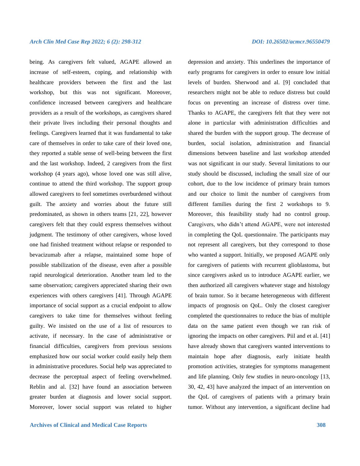being. As caregivers felt valued, AGAPE allowed an increase of self-esteem, coping, and relationship with healthcare providers between the first and the last workshop, but this was not significant. Moreover, confidence increased between caregivers and healthcare providers as a result of the workshops, as caregivers shared their private lives including their personal thoughts and feelings. Caregivers learned that it was fundamental to take care of themselves in order to take care of their loved one, they reported a stable sense of well-being between the first and the last workshop. Indeed, 2 caregivers from the first workshop (4 years ago), whose loved one was still alive, continue to attend the third workshop. The support group allowed caregivers to feel sometimes overburdened without guilt. The anxiety and worries about the future still predominated, as shown in others teams [21, 22], however caregivers felt that they could express themselves without judgment. The testimony of other caregivers, whose loved one had finished treatment without relapse or responded to bevacizumab after a relapse, maintained some hope of possible stabilization of the disease, even after a possible rapid neurological deterioration. Another team led to the same observation; caregivers appreciated sharing their own experiences with others caregivers [41]. Through AGAPE importance of social support as a crucial endpoint to allow caregivers to take time for themselves without feeling guilty. We insisted on the use of a list of resources to activate, if necessary. In the case of administrative or financial difficulties, caregivers from previous sessions emphasized how our social worker could easily help them in administrative procedures. Social help was appreciated to decrease the perceptual aspect of feeling overwhelmed. Reblin and al. [32] have found an association between greater burden at diagnosis and lower social support. Moreover, lower social support was related to higher

depression and anxiety. This underlines the importance of early programs for caregivers in order to ensure low initial levels of burden. Sherwood and al. [9] concluded that researchers might not be able to reduce distress but could focus on preventing an increase of distress over time. Thanks to AGAPE, the caregivers felt that they were not alone in particular with administration difficulties and shared the burden with the support group. The decrease of burden, social isolation, administration and financial dimensions between baseline and last workshop attended was not significant in our study. Several limitations to our study should be discussed, including the small size of our cohort, due to the low incidence of primary brain tumors and our choice to limit the number of caregivers from different families during the first 2 workshops to 9. Moreover, this feasibility study had no control group. Caregivers, who didn't attend AGAPE, were not interested in completing the QoL questionnaire. The participants may not represent all caregivers, but they correspond to those who wanted a support. Initially, we proposed AGAPE only for caregivers of patients with recurrent glioblastoma, but since caregivers asked us to introduce AGAPE earlier, we then authorized all caregivers whatever stage and histology of brain tumor. So it became heterogeneous with different impacts of prognosis on QoL. Only the closest caregiver completed the questionnaires to reduce the bias of multiple data on the same patient even though we ran risk of ignoring the impacts on other caregivers. Piil and et al. [41] have already shown that caregivers wanted interventions to maintain hope after diagnosis, early initiate health promotion activities, strategies for symptoms management and life planning. Only few studies in neuro-oncology [13, 30, 42, 43] have analyzed the impact of an intervention on the QoL of caregivers of patients with a primary brain tumor. Without any intervention, a significant decline had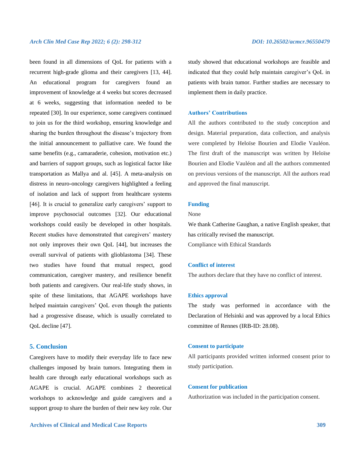been found in all dimensions of QoL for patients with a recurrent high-grade glioma and their caregivers [13, 44]. An educational program for caregivers found an improvement of knowledge at 4 weeks but scores decreased at 6 weeks, suggesting that information needed to be repeated [30]. In our experience, some caregivers continued to join us for the third workshop, ensuring knowledge and sharing the burden throughout the disease's trajectory from the initial announcement to palliative care. We found the same benefits (e.g., camaraderie, cohesion, motivation etc.) and barriers of support groups, such as logistical factor like transportation as Mallya and al. [45]. A meta-analysis on distress in neuro-oncology caregivers highlighted a feeling of isolation and lack of support from healthcare systems [46]. It is crucial to generalize early caregivers' support to improve psychosocial outcomes [32]. Our educational workshops could easily be developed in other hospitals. Recent studies have demonstrated that caregivers' mastery not only improves their own QoL [44], but increases the overall survival of patients with glioblastoma [34]. These two studies have found that mutual respect, good communication, caregiver mastery, and resilience benefit both patients and caregivers. Our real-life study shows, in spite of these limitations, that AGAPE workshops have helped maintain caregivers' QoL even though the patients had a progressive disease, which is usually correlated to QoL decline [47].

### **5. Conclusion**

Caregivers have to modify their everyday life to face new challenges imposed by brain tumors. Integrating them in health care through early educational workshops such as AGAPE is crucial. AGAPE combines 2 theoretical workshops to acknowledge and guide caregivers and a support group to share the burden of their new key role. Our

study showed that educational workshops are feasible and indicated that they could help maintain caregiver's QoL in patients with brain tumor. Further studies are necessary to implement them in daily practice.

#### **Authors' Contributions**

All the authors contributed to the study conception and design. Material preparation, data collection, and analysis were completed by Heloïse Bourien and Elodie Vauléon. The first draft of the manuscript was written by Heloïse Bourien and Elodie Vauléon and all the authors commented on previous versions of the manuscript. All the authors read and approved the final manuscript.

### **Funding**

None

We thank Catherine Gaughan, a native English speaker, that has critically revised the manuscript. Compliance with Ethical Standards

#### **Conflict of interest**

The authors declare that they have no conflict of interest.

#### **Ethics approval**

The study was performed in accordance with the Declaration of Helsinki and was approved by a local Ethics committee of Rennes (IRB-ID: 28.08).

#### **Consent to participate**

All participants provided written informed consent prior to study participation.

#### **Consent for publication**

Authorization was included in the participation consent.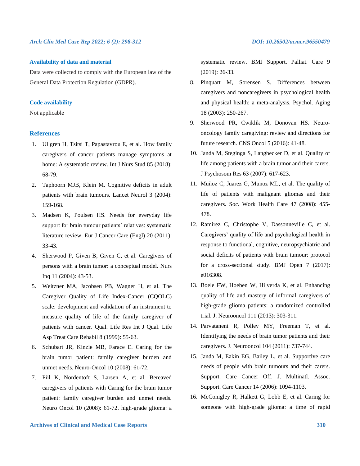#### **Availability of data and material**

Data were collected to comply with the European law of the General Data Protection Regulation (GDPR).

#### **Code availability**

Not applicable

### **References**

- 1. Ullgren H, Tsitsi T, Papastavrou E, et al. How family caregivers of cancer patients manage symptoms at home: A systematic review. Int J Nurs Stud 85 (2018): 68-79.
- 2. Taphoorn MJB, Klein M. Cognitive deficits in adult patients with brain tumours. Lancet Neurol 3 (2004): 159-168.
- 3. Madsen K, Poulsen HS. Needs for everyday life support for brain tumour patients' relatives: systematic literature review. Eur J Cancer Care (Engl) 20 (2011): 33-43.
- 4. Sherwood P, Given B, Given C, et al. Caregivers of persons with a brain tumor: a conceptual model. Nurs Inq 11 (2004): 43-53.
- 5. Weitzner MA, Jacobsen PB, Wagner H, et al. The Caregiver Quality of Life Index-Cancer (CQOLC) scale: development and validation of an instrument to measure quality of life of the family caregiver of patients with cancer. Qual. Life Res Int J Qual. Life Asp Treat Care Rehabil 8 (1999): 55-63.
- 6. Schubart JR, Kinzie MB, Farace E. Caring for the brain tumor patient: family caregiver burden and unmet needs. Neuro-Oncol 10 (2008): 61-72.
- 7. Piil K, Nordentoft S, Larsen A, et al. Bereaved caregivers of patients with Caring for the brain tumor patient: family caregiver burden and unmet needs. Neuro Oncol 10 (2008): 61-72. high-grade glioma: a

systematic review. BMJ Support. Palliat. Care 9 (2019): 26-33.

- 8. Pinquart M, Sorensen S. Differences between caregivers and noncaregivers in psychological health and physical health: a meta-analysis. Psychol. Aging 18 (2003): 250-267.
- 9. Sherwood PR, Cwiklik M, Donovan HS. Neurooncology family caregiving: review and directions for future research. CNS Oncol 5 (2016): 41-48.
- 10. Janda M, Steginga S, Langbecker D, et al. Quality of life among patients with a brain tumor and their carers. J Psychosom Res 63 (2007): 617-623.
- 11. Muñoz C, Juarez G, Munoz ML, et al. The quality of life of patients with malignant gliomas and their caregivers. Soc. Work Health Care 47 (2008): 455- 478.
- 12. Ramirez C, Christophe V, Dassonneville C, et al. Caregivers' quality of life and psychological health in response to functional, cognitive, neuropsychiatric and social deficits of patients with brain tumour: protocol for a cross-sectional study. BMJ Open 7 (2017): e016308.
- 13. Boele FW, Hoeben W, Hilverda K, et al. Enhancing quality of life and mastery of informal caregivers of high-grade glioma patients: a randomized controlled trial. J. Neurooncol 111 (2013): 303-311.
- 14. Parvataneni R, Polley MY, Freeman T, et al. Identifying the needs of brain tumor patients and their caregivers. J. Neurooncol 104 (2011): 737-744.
- 15. Janda M, Eakin EG, Bailey L, et al. Supportive care needs of people with brain tumours and their carers. Support. Care Cancer Off. J. Multinatl. Assoc. Support. Care Cancer 14 (2006): 1094-1103.
- 16. McConigley R, Halkett G, Lobb E, et al. Caring for someone with high-grade glioma: a time of rapid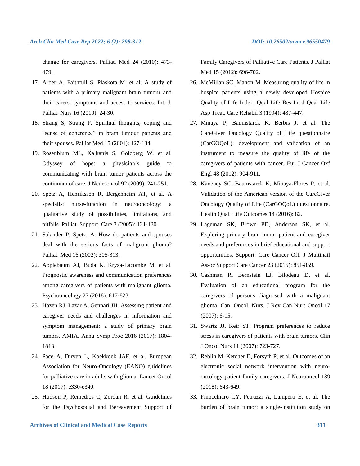change for caregivers. Palliat. Med 24 (2010): 473- 479.

- 17. Arber A, Faithfull S, Plaskota M, et al. A study of patients with a primary malignant brain tumour and their carers: symptoms and access to services. Int. J. Palliat. Nurs 16 (2010): 24-30.
- 18. Strang S, Strang P. Spiritual thoughts, coping and "sense of coherence" in brain tumour patients and their spouses. Palliat Med 15 (2001): 127-134.
- 19. Rosenblum ML, Kalkanis S, Goldberg W, et al. Odyssey of hope: a physician's guide to communicating with brain tumor patients across the continuum of care. J Neurooncol 92 (2009): 241-251.
- 20. Spetz A, Henriksson R, Bergenheim AT, et al. A specialist nurse-function in neurooncology: a qualitative study of possibilities, limitations, and pitfalls. Palliat. Support. Care 3 (2005): 121-130.
- 21. Salander P, Spetz, A. How do patients and spouses deal with the serious facts of malignant glioma? Palliat. Med 16 (2002): 305-313.
- 22. Applebaum AJ, Buda K, Kryza-Lacombe M, et al. Prognostic awareness and communication preferences among caregivers of patients with malignant glioma. Psychooncology 27 (2018): 817-823.
- 23. Hazen RJ, Lazar A, Gennari JH. Assessing patient and caregiver needs and challenges in information and symptom management: a study of primary brain tumors. AMIA. Annu Symp Proc 2016 (2017): 1804- 1813.
- 24. Pace A, Dirven L, Koekkoek JAF, et al. European Association for Neuro-Oncology (EANO) guidelines for palliative care in adults with glioma. Lancet Oncol 18 (2017): e330-e340.
- 25. Hudson P, Remedios C, Zordan R, et al. Guidelines for the Psychosocial and Bereavement Support of

Family Caregivers of Palliative Care Patients. J Palliat Med 15 (2012): 696-702.

- 26. McMillan SC, Mahon M. Measuring quality of life in hospice patients using a newly developed Hospice Quality of Life Index. Qual Life Res Int J Qual Life Asp Treat. Care Rehabil 3 (1994): 437-447.
- 27. Minaya P, Baumstarck K, Berbis J, et al. The CareGiver Oncology Quality of Life questionnaire (CarGOQoL): development and validation of an instrument to measure the quality of life of the caregivers of patients with cancer. Eur J Cancer Oxf Engl 48 (2012): 904-911.
- 28. Kaveney SC, Baumstarck K, Minaya-Flores P, et al. Validation of the American version of the CareGiver Oncology Quality of Life (CarGOQoL) questionnaire. Health Qual. Life Outcomes 14 (2016): 82.
- 29. Lageman SK, Brown PD, Anderson SK, et al. Exploring primary brain tumor patient and caregiver needs and preferences in brief educational and support opportunities. Support. Care Cancer Off. J Multinatl Assoc Support Care Cancer 23 (2015): 851-859.
- 30. Cashman R, Bernstein LJ, Bilodeau D, et al. Evaluation of an educational program for the caregivers of persons diagnosed with a malignant glioma. Can. Oncol. Nurs. J Rev Can Nurs Oncol 17 (2007): 6-15.
- 31. Swartz JJ, Keir ST. Program preferences to reduce stress in caregivers of patients with brain tumors. Clin J Oncol Nurs 11 (2007): 723-727.
- 32. Reblin M, Ketcher D, Forsyth P, et al. Outcomes of an electronic social network intervention with neurooncology patient family caregivers. J Neurooncol 139 (2018): 643-649.
- 33. Finocchiaro CY, Petruzzi A, Lamperti E, et al. The burden of brain tumor: a single-institution study on